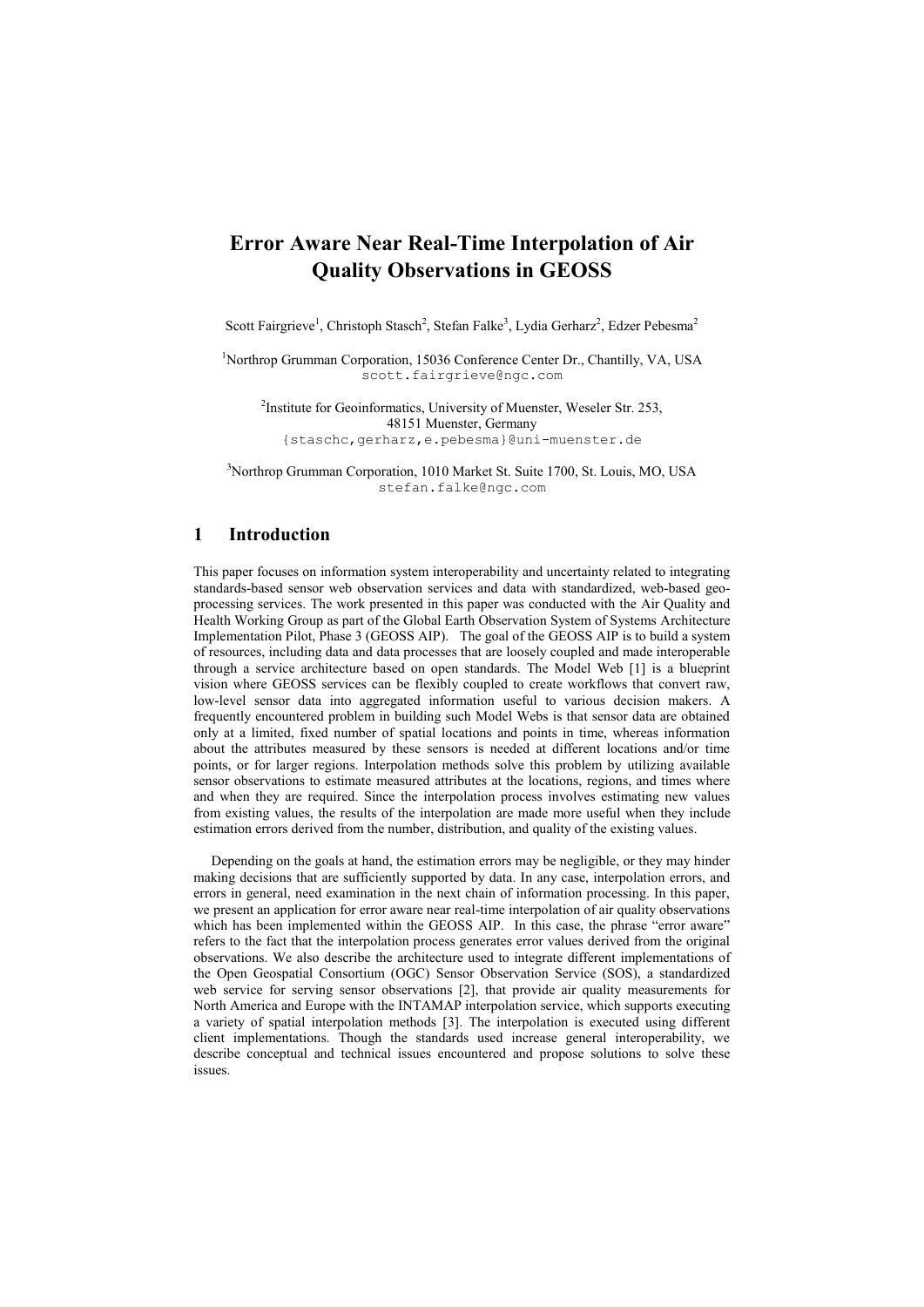# **Error Aware Near Real-Time Interpolation of Air Quality Observations in GEOSS**

Scott Fairgrieve<sup>1</sup>, Christoph Stasch<sup>2</sup>, Stefan Falke<sup>3</sup>, Lydia Gerharz<sup>2</sup>, Edzer Pebesma<sup>2</sup>

<sup>1</sup>Northrop Grumman Corporation, 15036 Conference Center Dr., Chantilly, VA, USA scott.fairgrieve@ngc.com

<sup>2</sup>Institute for Geoinformatics, University of Muenster, Weseler Str. 253, 48151 Muenster, Germany {staschc,gerharz,e.pebesma}@uni-muenster.de

<sup>3</sup>Northrop Grumman Corporation, 1010 Market St. Suite 1700, St. Louis, MO, USA stefan.falke@ngc.com

## **1 Introduction**

This paper focuses on information system interoperability and uncertainty related to integrating standards-based sensor web observation services and data with standardized, web-based geoprocessing services. The work presented in this paper was conducted with the Air Quality and Health Working Group as part of the Global Earth Observation System of Systems Architecture Implementation Pilot, Phase 3 (GEOSS AIP). The goal of the GEOSS AIP is to build a system of resources, including data and data processes that are loosely coupled and made interoperable through a service architecture based on open standards. The Model Web [1] is a blueprint vision where GEOSS services can be flexibly coupled to create workflows that convert raw, low-level sensor data into aggregated information useful to various decision makers. A frequently encountered problem in building such Model Webs is that sensor data are obtained only at a limited, fixed number of spatial locations and points in time, whereas information about the attributes measured by these sensors is needed at different locations and/or time points, or for larger regions. Interpolation methods solve this problem by utilizing available sensor observations to estimate measured attributes at the locations, regions, and times where and when they are required. Since the interpolation process involves estimating new values from existing values, the results of the interpolation are made more useful when they include estimation errors derived from the number, distribution, and quality of the existing values.

Depending on the goals at hand, the estimation errors may be negligible, or they may hinder making decisions that are sufficiently supported by data. In any case, interpolation errors, and errors in general, need examination in the next chain of information processing. In this paper, we present an application for error aware near real-time interpolation of air quality observations which has been implemented within the GEOSS AIP. In this case, the phrase "error aware" refers to the fact that the interpolation process generates error values derived from the original observations. We also describe the architecture used to integrate different implementations of the Open Geospatial Consortium (OGC) Sensor Observation Service (SOS), a standardized web service for serving sensor observations [2], that provide air quality measurements for North America and Europe with the INTAMAP interpolation service, which supports executing a variety of spatial interpolation methods [3]. The interpolation is executed using different client implementations. Though the standards used increase general interoperability, we describe conceptual and technical issues encountered and propose solutions to solve these issues.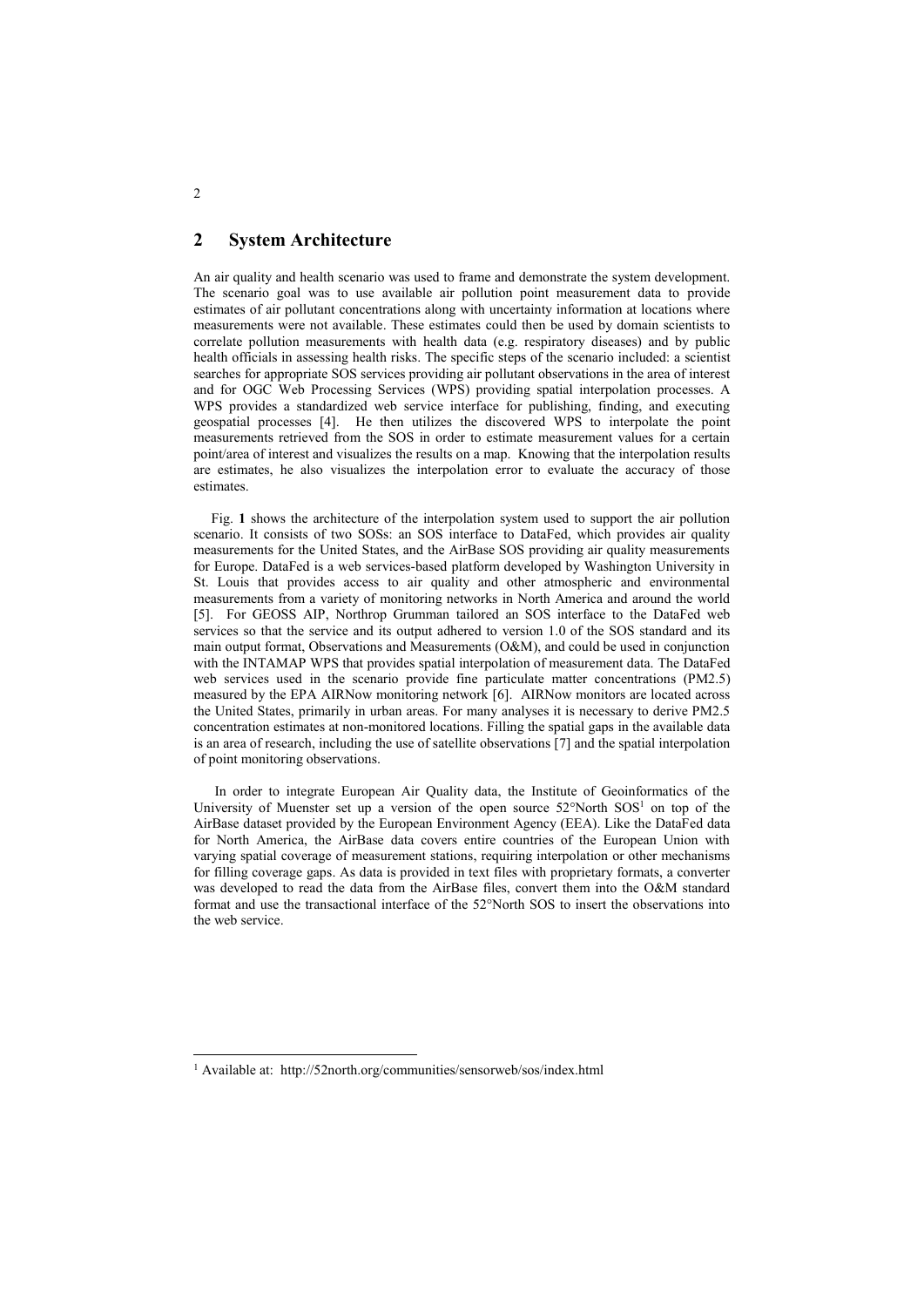## **2 System Architecture**

An air quality and health scenario was used to frame and demonstrate the system development. The scenario goal was to use available air pollution point measurement data to provide estimates of air pollutant concentrations along with uncertainty information at locations where measurements were not available. These estimates could then be used by domain scientists to correlate pollution measurements with health data (e.g. respiratory diseases) and by public health officials in assessing health risks. The specific steps of the scenario included: a scientist searches for appropriate SOS services providing air pollutant observations in the area of interest and for OGC Web Processing Services (WPS) providing spatial interpolation processes. A WPS provides a standardized web service interface for publishing, finding, and executing geospatial processes [4]. He then utilizes the discovered WPS to interpolate the point measurements retrieved from the SOS in order to estimate measurement values for a certain point/area of interest and visualizes the results on a map. Knowing that the interpolation results are estimates, he also visualizes the interpolation error to evaluate the accuracy of those estimates.

[Fig.](#page-2-0) **1** shows the architecture of the interpolation system used to support the air pollution scenario. It consists of two SOSs: an SOS interface to DataFed, which provides air quality measurements for the United States, and the AirBase SOS providing air quality measurements for Europe. DataFed is a web services-based platform developed by Washington University in St. Louis that provides access to air quality and other atmospheric and environmental measurements from a variety of monitoring networks in North America and around the world [5]. For GEOSS AIP, Northrop Grumman tailored an SOS interface to the DataFed web services so that the service and its output adhered to version 1.0 of the SOS standard and its main output format, Observations and Measurements (O&M), and could be used in conjunction with the INTAMAP WPS that provides spatial interpolation of measurement data. The DataFed web services used in the scenario provide fine particulate matter concentrations (PM2.5) measured by the EPA AIRNow monitoring network [6]. AIRNow monitors are located across the United States, primarily in urban areas. For many analyses it is necessary to derive PM2.5 concentration estimates at non-monitored locations. Filling the spatial gaps in the available data is an area of research, including the use of satellite observations [7] and the spatial interpolation of point monitoring observations.

In order to integrate European Air Quality data, the Institute of Geoinformatics of the University of Muenster set up a version of the open source  $52^{\circ}$ North  $SOS<sup>1</sup>$  on top of the AirBase dataset provided by the European Environment Agency (EEA). Like the DataFed data for North America, the AirBase data covers entire countries of the European Union with varying spatial coverage of measurement stations, requiring interpolation or other mechanisms for filling coverage gaps. As data is provided in text files with proprietary formats, a converter was developed to read the data from the AirBase files, convert them into the O&M standard format and use the transactional interface of the 52°North SOS to insert the observations into the web service.

 $\overline{2}$ 

<sup>&</sup>lt;sup>1</sup> Available at: http://52north.org/communities/sensorweb/sos/index.html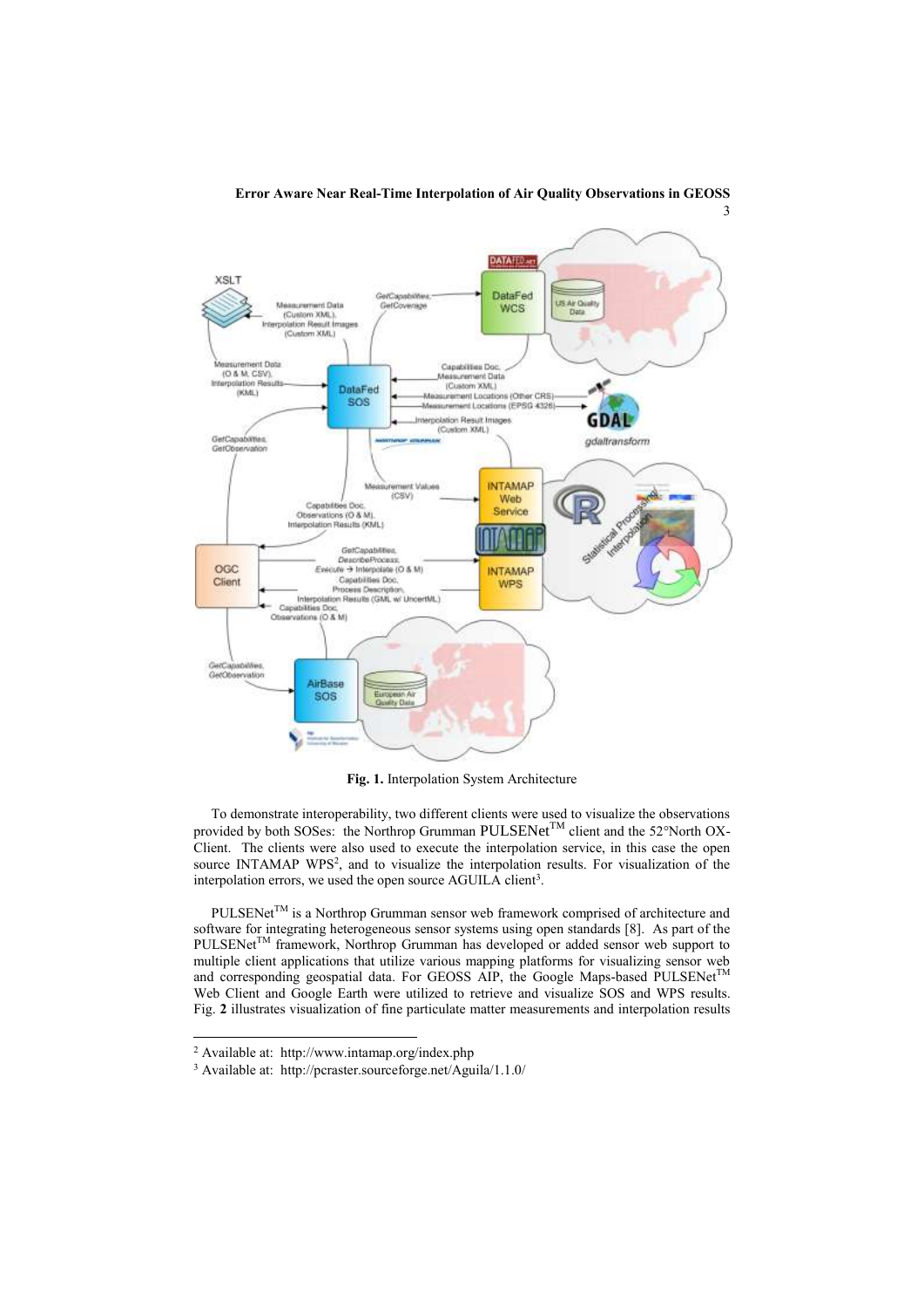

## **Error Aware Near Real-Time Interpolation of Air Quality Observations in GEOSS**

**Fig. 1.** Interpolation System Architecture

<span id="page-2-0"></span>To demonstrate interoperability, two different clients were used to visualize the observations provided by both SOSes: the Northrop Grumman PULSENet<sup>TM</sup> client and the 52°North OX-Client. The clients were also used to execute the interpolation service, in this case the open source INTAMAP WPS<sup>2</sup>, and to visualize the interpolation results. For visualization of the interpolation errors, we used the open source AGUILA client<sup>3</sup>.

 $PULSENet^{TM}$  is a Northrop Grumman sensor web framework comprised of architecture and software for integrating heterogeneous sensor systems using open standards [8]. As part of the PULSENet<sup>TM</sup> framework, Northrop Grumman has developed or added sensor web support to multiple client applications that utilize various mapping platforms for visualizing sensor web and corresponding geospatial data. For GEOSS AIP, the Google Maps-based PULSENet<sup>TM</sup> Web Client and Google Earth were utilized to retrieve and visualize SOS and WPS results. [Fig.](#page-3-0) **2** illustrates visualization of fine particulate matter measurements and interpolation results

<sup>2</sup> Available at: http://www.intamap.org/index.php

<sup>3</sup> Available at: http://pcraster.sourceforge.net/Aguila/1.1.0/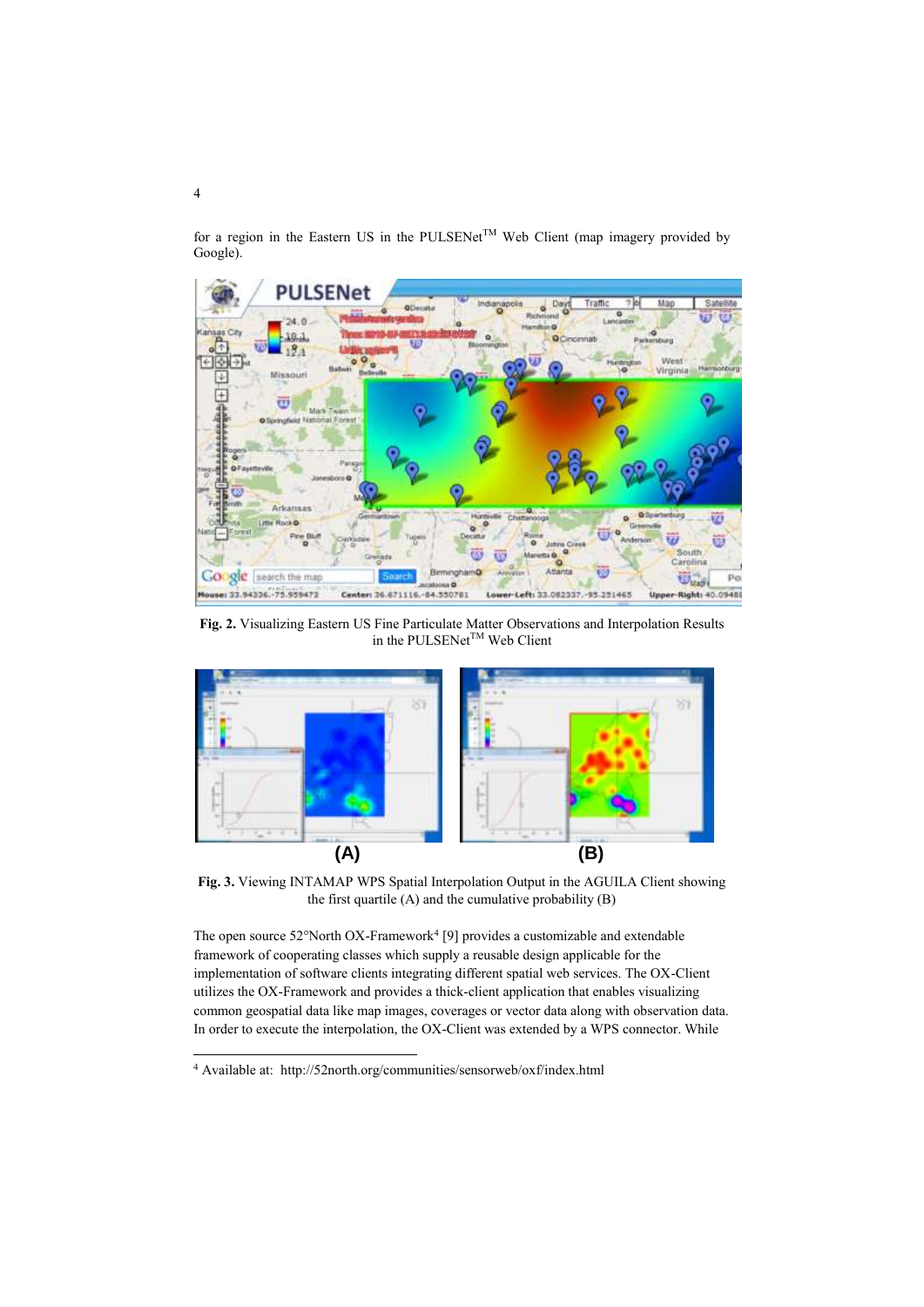for a region in the Eastern US in the PULSENet<sup>TM</sup> Web Client (map imagery provided by Google).



<span id="page-3-0"></span>**Fig. 2.** Visualizing Eastern US Fine Particulate Matter Observations and Interpolation Results in the PULSENet<sup>TM</sup> Web Client



<span id="page-3-1"></span>**Fig. 3.** Viewing INTAMAP WPS Spatial Interpolation Output in the AGUILA Client showing the first quartile  $(A)$  and the cumulative probability  $(B)$ 

The open source  $52^{\circ}$ North OX-Framework<sup>4</sup> [9] provides a customizable and extendable framework of cooperating classes which supply a reusable design applicable for the implementation of software clients integrating different spatial web services. The OX-Client utilizes the OX-Framework and provides a thick-client application that enables visualizing common geospatial data like map images, coverages or vector data along with observation data. In order to execute the interpolation, the OX-Client was extended by a WPS connector. While

<sup>4</sup> Available at: http://52north.org/communities/sensorweb/oxf/index.html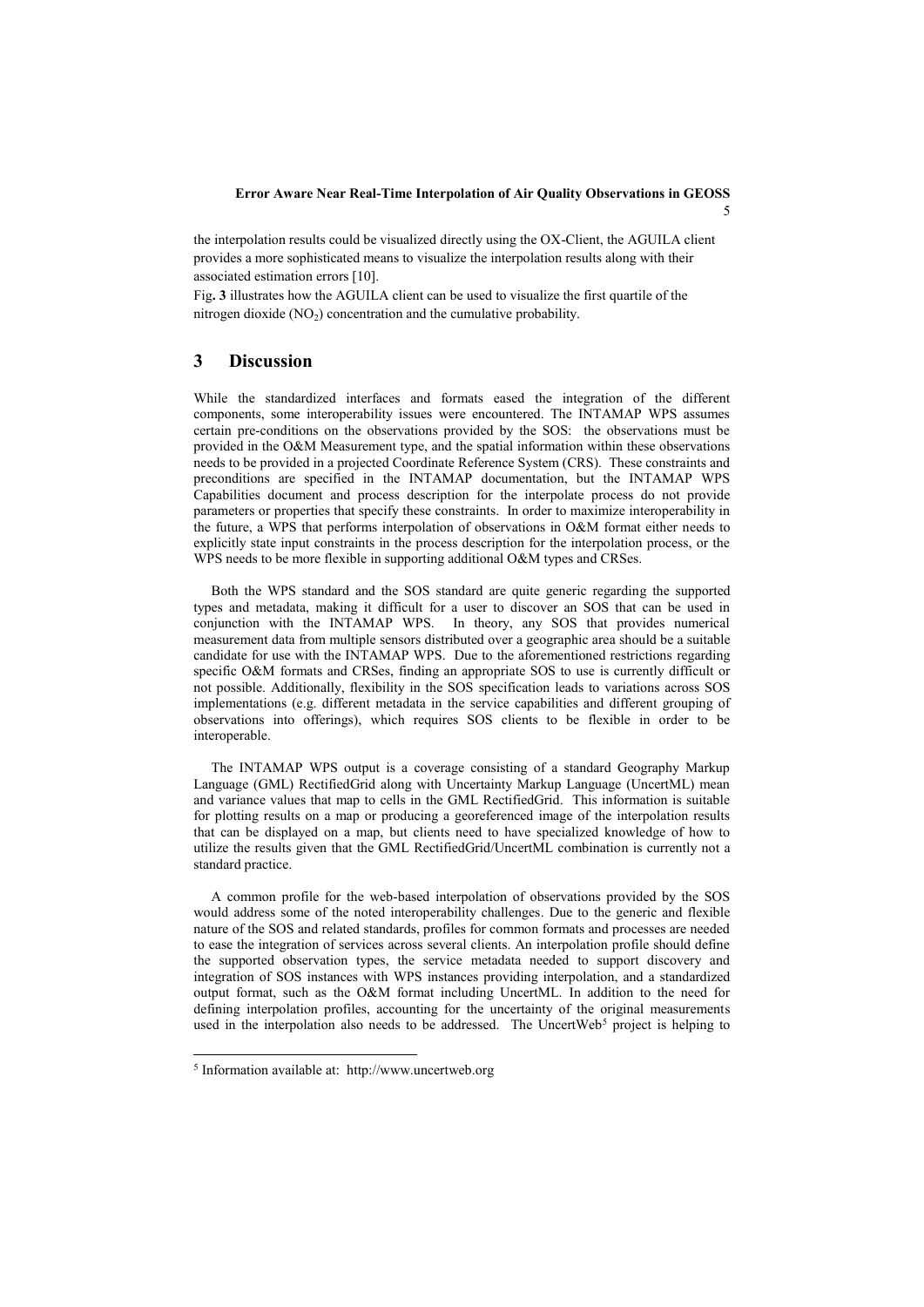#### **Error Aware Near Real-Time Interpolation of Air Quality Observations in GEOSS**

5

the interpolation results could be visualized directly using the OX-Client, the AGUILA client provides a more sophisticated means to visualize the interpolation results along with their associated estimation errors [10][.](#page-3-1)

[Fig](#page-3-1)**. 3** illustrates how the AGUILA client can be used to visualize the first quartile of the nitrogen dioxide  $(NO<sub>2</sub>)$  concentration and the cumulative probability.

#### **3 Discussion**

While the standardized interfaces and formats eased the integration of the different components, some interoperability issues were encountered. The INTAMAP WPS assumes certain pre-conditions on the observations provided by the SOS: the observations must be provided in the O&M Measurement type, and the spatial information within these observations needs to be provided in a projected Coordinate Reference System (CRS). These constraints and preconditions are specified in the INTAMAP documentation, but the INTAMAP WPS Capabilities document and process description for the interpolate process do not provide parameters or properties that specify these constraints. In order to maximize interoperability in the future, a WPS that performs interpolation of observations in O&M format either needs to explicitly state input constraints in the process description for the interpolation process, or the WPS needs to be more flexible in supporting additional O&M types and CRSes.

Both the WPS standard and the SOS standard are quite generic regarding the supported types and metadata, making it difficult for a user to discover an SOS that can be used in conjunction with the INTAMAP WPS. In theory, any SOS that provides numerical measurement data from multiple sensors distributed over a geographic area should be a suitable candidate for use with the INTAMAP WPS. Due to the aforementioned restrictions regarding specific O&M formats and CRSes, finding an appropriate SOS to use is currently difficult or not possible. Additionally, flexibility in the SOS specification leads to variations across SOS implementations (e.g. different metadata in the service capabilities and different grouping of observations into offerings), which requires SOS clients to be flexible in order to be interoperable.

The INTAMAP WPS output is a coverage consisting of a standard Geography Markup Language (GML) RectifiedGrid along with Uncertainty Markup Language (UncertML) mean and variance values that map to cells in the GML RectifiedGrid. This information is suitable for plotting results on a map or producing a georeferenced image of the interpolation results that can be displayed on a map, but clients need to have specialized knowledge of how to utilize the results given that the GML RectifiedGrid/UncertML combination is currently not a standard practice.

A common profile for the web-based interpolation of observations provided by the SOS would address some of the noted interoperability challenges. Due to the generic and flexible nature of the SOS and related standards, profiles for common formats and processes are needed to ease the integration of services across several clients. An interpolation profile should define the supported observation types, the service metadata needed to support discovery and integration of SOS instances with WPS instances providing interpolation, and a standardized output format, such as the O&M format including UncertML. In addition to the need for defining interpolation profiles, accounting for the uncertainty of the original measurements used in the interpolation also needs to be addressed. The UncertWeb<sup>5</sup> project is helping to

<sup>5</sup> Information available at: http://www.uncertweb.org